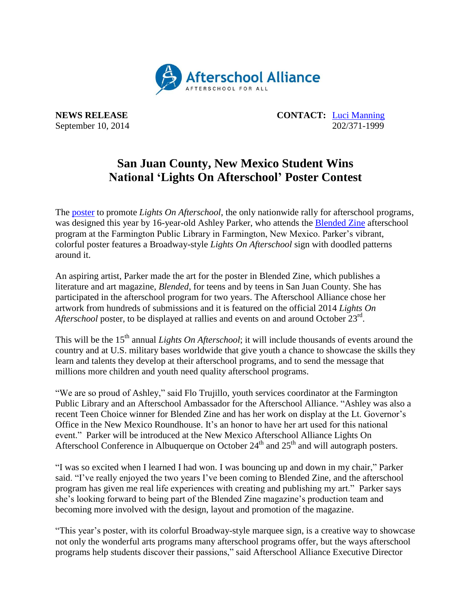

**NEWS RELEASE CONTACT:** [Luci Manning](mailto:luci@prsolutionsdc.com) September 10, 2014 202/371-1999

## **San Juan County, New Mexico Student Wins National 'Lights On Afterschool' Poster Contest**

The [poster](http://www.afterschoolalliance.org/loa.cfm) to promote *Lights On Afterschool*, the only nationwide rally for afterschool programs, was designed this year by 16-year-old Ashley Parker, who attends the [Blended Zine](http://www.blendedzine.com/) afterschool program at the Farmington Public Library in Farmington, New Mexico. Parker's vibrant, colorful poster features a Broadway-style *Lights On Afterschool* sign with doodled patterns around it.

An aspiring artist, Parker made the art for the poster in Blended Zine, which publishes a literature and art magazine, *Blended*, for teens and by teens in San Juan County. She has participated in the afterschool program for two years. The Afterschool Alliance chose her artwork from hundreds of submissions and it is featured on the official 2014 *Lights On*  Afterschool poster, to be displayed at rallies and events on and around October 23<sup>rd</sup>.

This will be the 15<sup>th</sup> annual *Lights On Afterschool*; it will include thousands of events around the country and at U.S. military bases worldwide that give youth a chance to showcase the skills they learn and talents they develop at their afterschool programs, and to send the message that millions more children and youth need quality afterschool programs.

"We are so proud of Ashley," said Flo Trujillo, youth services coordinator at the Farmington Public Library and an Afterschool Ambassador for the Afterschool Alliance. "Ashley was also a recent Teen Choice winner for Blended Zine and has her work on display at the Lt. Governor's Office in the New Mexico Roundhouse. It's an honor to have her art used for this national event." Parker will be introduced at the New Mexico Afterschool Alliance Lights On Afterschool Conference in Albuquerque on October 24<sup>th</sup> and 25<sup>th</sup> and will autograph posters.

"I was so excited when I learned I had won. I was bouncing up and down in my chair," Parker said. "I've really enjoyed the two years I've been coming to Blended Zine, and the afterschool program has given me real life experiences with creating and publishing my art." Parker says she's looking forward to being part of the Blended Zine magazine's production team and becoming more involved with the design, layout and promotion of the magazine.

"This year's poster, with its colorful Broadway-style marquee sign, is a creative way to showcase not only the wonderful arts programs many afterschool programs offer, but the ways afterschool programs help students discover their passions," said Afterschool Alliance Executive Director